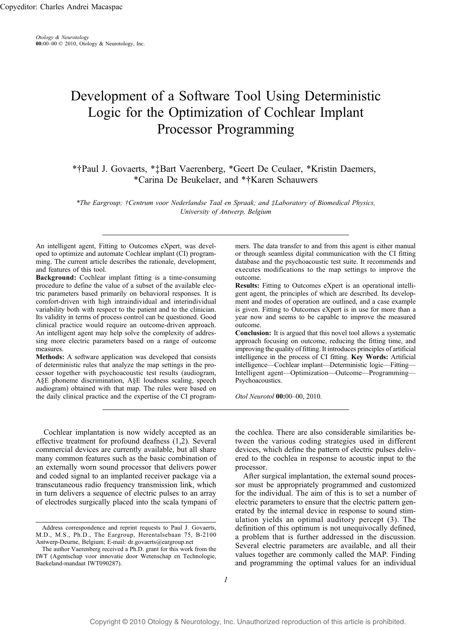# Development of a Software Tool Using Deterministic Logic for the Optimization of Cochlear Implant Processor Programming

\*†Paul J. Govaerts, \*‡Bart Vaerenberg, \*Geert De Ceulaer, \*Kristin Daemers, \*Carina De Beukelaer, and \*†Karen Schauwers

\*The Eargroup; †Centrum voor Nederlandse Taal en Spraak; and ‡Laboratory of Biomedical Physics, University of Antwerp, Belgium

An intelligent agent, Fitting to Outcomes eXpert, was developed to optimize and automate Cochlear implant (CI) programming. The current article describes the rationale, development, and features of this tool.

Background: Cochlear implant fitting is a time-consuming procedure to define the value of a subset of the available electric parameters based primarily on behavioral responses. It is comfort-driven with high intraindividual and interindividual variability both with respect to the patient and to the clinician. Its validity in terms of process control can be questioned. Good clinical practice would require an outcome-driven approach. An intelligent agent may help solve the complexity of addressing more electric parameters based on a range of outcome measures.

Methods: A software application was developed that consists of deterministic rules that analyze the map settings in the processor together with psychoacoustic test results (audiogram, A§E phoneme discrimination, A§E loudness scaling, speech audiogram) obtained with that map. The rules were based on the daily clinical practice and the expertise of the CI programmers. The data transfer to and from this agent is either manual or through seamless digital communication with the CI fitting database and the psychoacoustic test suite. It recommends and executes modifications to the map settings to improve the outcome.

Results: Fitting to Outcomes eXpert is an operational intelligent agent, the principles of which are described. Its development and modes of operation are outlined, and a case example is given. Fitting to Outcomes eXpert is in use for more than a year now and seems to be capable to improve the measured outcome.

Conclusion: It is argued that this novel tool allows a systematic approach focusing on outcome, reducing the fitting time, and improving the quality of fitting. It introduces principles of artificial intelligence in the process of CI fitting. Key Words: Artificial intelligence—Cochlear implant—Deterministic logic—Fitting— Intelligent agent—Optimization—Outcome—Programming— Psychoacoustics.

Otol Neurotol 00:00-00, 2010.

Cochlear implantation is now widely accepted as an effective treatment for profound deafness (1,2). Several commercial devices are currently available, but all share many common features such as the basic combination of an externally worn sound processor that delivers power and coded signal to an implanted receiver package via a transcutaneous radio frequency transmission link, which in turn delivers a sequence of electric pulses to an array of electrodes surgically placed into the scala tympani of the cochlea. There are also considerable similarities between the various coding strategies used in different devices, which define the pattern of electric pulses delivered to the cochlea in response to acoustic input to the processor.

After surgical implantation, the external sound processor must be appropriately programmed and customized for the individual. The aim of this is to set a number of electric parameters to ensure that the electric pattern generated by the internal device in response to sound stimulation yields an optimal auditory percept (3). The definition of this optimum is not unequivocally defined, a problem that is further addressed in the discussion. Several electric parameters are available, and all their values together are commonly called the MAP. Finding and programming the optimal values for an individual

Address correspondence and reprint requests to Paul J. Govaerts, M.D., M.S., Ph.D., The Eargroup, Herentalsebaan 75, B-2100 Antwerp-Deurne, Belgium; E-mail: dr.govaerts@eargroup.net

The author Vaerenberg received a Ph.D. grant for this work from the IWT (Agentschap voor innovatie door Wetenschap en Technologie, Baekeland-mandaat IWT090287).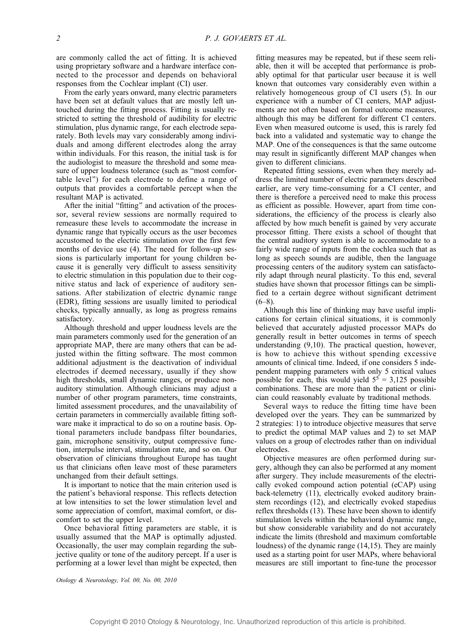are commonly called the act of fitting. It is achieved using proprietary software and a hardware interface connected to the processor and depends on behavioral responses from the Cochlear implant (CI) user.

From the early years onward, many electric parameters have been set at default values that are mostly left untouched during the fitting process. Fitting is usually restricted to setting the threshold of audibility for electric stimulation, plus dynamic range, for each electrode separately. Both levels may vary considerably among individuals and among different electrodes along the array within individuals. For this reason, the initial task is for the audiologist to measure the threshold and some measure of upper loudness tolerance (such as "most comfortable level") for each electrode to define a range of outputs that provides a comfortable percept when the resultant MAP is activated.

After the initial "fitting" and activation of the processor, several review sessions are normally required to remeasure these levels to accommodate the increase in dynamic range that typically occurs as the user becomes accustomed to the electric stimulation over the first few months of device use (4). The need for follow-up sessions is particularly important for young children because it is generally very difficult to assess sensitivity to electric stimulation in this population due to their cognitive status and lack of experience of auditory sensations. After stabilization of electric dynamic range (EDR), fitting sessions are usually limited to periodical checks, typically annually, as long as progress remains satisfactory.

Although threshold and upper loudness levels are the main parameters commonly used for the generation of an appropriate MAP, there are many others that can be adjusted within the fitting software. The most common additional adjustment is the deactivation of individual electrodes if deemed necessary, usually if they show high thresholds, small dynamic ranges, or produce nonauditory stimulation. Although clinicians may adjust a number of other program parameters, time constraints, limited assessment procedures, and the unavailability of certain parameters in commercially available fitting software make it impractical to do so on a routine basis. Optional parameters include bandpass filter boundaries, gain, microphone sensitivity, output compressive function, interpulse interval, stimulation rate, and so on. Our observation of clinicians throughout Europe has taught us that clinicians often leave most of these parameters unchanged from their default settings.

It is important to notice that the main criterion used is the patient's behavioral response. This reflects detection at low intensities to set the lower stimulation level and some appreciation of comfort, maximal comfort, or discomfort to set the upper level.

Once behavioral fitting parameters are stable, it is usually assumed that the MAP is optimally adjusted. Occasionally, the user may complain regarding the subjective quality or tone of the auditory percept. If a user is performing at a lower level than might be expected, then

able, then it will be accepted that performance is probably optimal for that particular user because it is well known that outcomes vary considerably even within a relatively homogeneous group of CI users (5). In our experience with a number of CI centers, MAP adjustments are not often based on formal outcome measures, although this may be different for different CI centers. Even when measured outcome is used, this is rarely fed back into a validated and systematic way to change the MAP. One of the consequences is that the same outcome may result in significantly different MAP changes when given to different clinicians. Repeated fitting sessions, even when they merely ad-

fitting measures may be repeated, but if these seem reli-

dress the limited number of electric parameters described earlier, are very time-consuming for a CI center, and there is therefore a perceived need to make this process as efficient as possible. However, apart from time considerations, the efficiency of the process is clearly also affected by how much benefit is gained by very accurate processor fitting. There exists a school of thought that the central auditory system is able to accommodate to a fairly wide range of inputs from the cochlea such that as long as speech sounds are audible, then the language processing centers of the auditory system can satisfactorily adapt through neural plasticity. To this end, several studies have shown that processor fittings can be simplified to a certain degree without significant detriment  $(6-8)$ .

Although this line of thinking may have useful implications for certain clinical situations, it is commonly believed that accurately adjusted processor MAPs do generally result in better outcomes in terms of speech understanding (9,10). The practical question, however, is how to achieve this without spending excessive amounts of clinical time. Indeed, if one considers 5 independent mapping parameters with only 5 critical values possible for each, this would yield  $5^5 = 3,125$  possible combinations. These are more than the patient or clinician could reasonably evaluate by traditional methods.

Several ways to reduce the fitting time have been developed over the years. They can be summarized by 2 strategies: 1) to introduce objective measures that serve to predict the optimal MAP values and 2) to set MAP values on a group of electrodes rather than on individual electrodes.

Objective measures are often performed during surgery, although they can also be performed at any moment after surgery. They include measurements of the electrically evoked compound action potential (eCAP) using back-telemetry (11), electrically evoked auditory brainstem recordings (12), and electrically evoked stapedius reflex thresholds (13). These have been shown to identify stimulation levels within the behavioral dynamic range, but show considerable variability and do not accurately indicate the limits (threshold and maximum comfortable loudness) of the dynamic range (14,15). They are mainly used as a starting point for user MAPs, where behavioral measures are still important to fine-tune the processor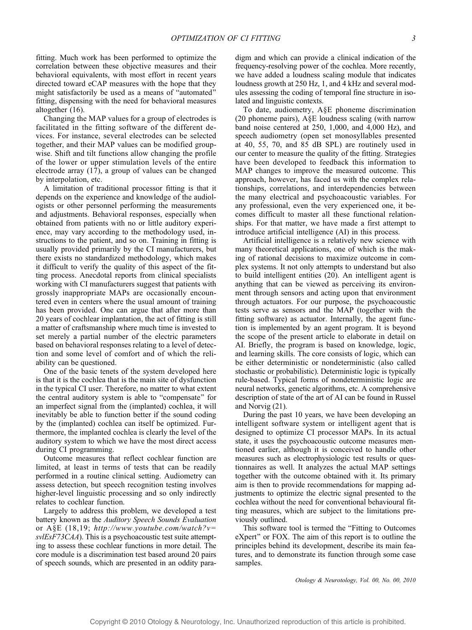fitting. Much work has been performed to optimize the correlation between these objective measures and their behavioral equivalents, with most effort in recent years directed toward eCAP measures with the hope that they might satisfactorily be used as a means of "automated" fitting, dispensing with the need for behavioral measures altogether (16).

Changing the MAP values for a group of electrodes is facilitated in the fitting software of the different devices. For instance, several electrodes can be selected together, and their MAP values can be modified groupwise. Shift and tilt functions allow changing the profile of the lower or upper stimulation levels of the entire electrode array (17), a group of values can be changed by interpolation, etc.

A limitation of traditional processor fitting is that it depends on the experience and knowledge of the audiologists or other personnel performing the measurements and adjustments. Behavioral responses, especially when obtained from patients with no or little auditory experience, may vary according to the methodology used, instructions to the patient, and so on. Training in fitting is usually provided primarily by the CI manufacturers, but there exists no standardized methodology, which makes it difficult to verify the quality of this aspect of the fitting process. Anecdotal reports from clinical specialists working with CI manufacturers suggest that patients with grossly inappropriate MAPs are occasionally encountered even in centers where the usual amount of training has been provided. One can argue that after more than 20 years of cochlear implantation, the act of fitting is still a matter of craftsmanship where much time is invested to set merely a partial number of the electric parameters based on behavioral responses relating to a level of detection and some level of comfort and of which the reliability can be questioned.

One of the basic tenets of the system developed here is that it is the cochlea that is the main site of dysfunction in the typical CI user. Therefore, no matter to what extent the central auditory system is able to "compensate" for an imperfect signal from the (implanted) cochlea, it will inevitably be able to function better if the sound coding by the (implanted) cochlea can itself be optimized. Furthermore, the implanted cochlea is clearly the level of the auditory system to which we have the most direct access during CI programming.

Outcome measures that reflect cochlear function are limited, at least in terms of tests that can be readily performed in a routine clinical setting. Audiometry can assess detection, but speech recognition testing involves higher-level linguistic processing and so only indirectly relates to cochlear function.

Largely to address this problem, we developed a test battery known as the Auditory Speech Sounds Evaluation or A§E (18,19; http://www.youtube.com/watch?v= svlEsF73CAA). This is a psychoacoustic test suite attempting to assess these cochlear functions in more detail. The core module is a discrimination test based around 20 pairs of speech sounds, which are presented in an oddity paradigm and which can provide a clinical indication of the frequency-resolving power of the cochlea. More recently, we have added a loudness scaling module that indicates loudness growth at 250 Hz, 1, and 4 kHz and several modules assessing the coding of temporal fine structure in isolated and linguistic contexts.

To date, audiometry, A§E phoneme discrimination (20 phoneme pairs), A§E loudness scaling (with narrow band noise centered at 250, 1,000, and 4,000 Hz), and speech audiometry (open set monosyllables presented at 40, 55, 70, and 85 dB SPL) are routinely used in our center to measure the quality of the fitting. Strategies have been developed to feedback this information to MAP changes to improve the measured outcome. This approach, however, has faced us with the complex relationships, correlations, and interdependencies between the many electrical and psychoacoustic variables. For any professional, even the very experienced one, it becomes difficult to master all these functional relationships. For that matter, we have made a first attempt to introduce artificial intelligence (AI) in this process.

Artificial intelligence is a relatively new science with many theoretical applications, one of which is the making of rational decisions to maximize outcome in complex systems. It not only attempts to understand but also to build intelligent entities (20). An intelligent agent is anything that can be viewed as perceiving its environment through sensors and acting upon that environment through actuators. For our purpose, the psychoacoustic tests serve as sensors and the MAP (together with the fitting software) as actuator. Internally, the agent function is implemented by an agent program. It is beyond the scope of the present article to elaborate in detail on AI. Briefly, the program is based on knowledge, logic, and learning skills. The core consists of logic, which can be either deterministic or nondeterministic (also called stochastic or probabilistic). Deterministic logic is typically rule-based. Typical forms of nondeterministic logic are neural networks, genetic algorithms, etc. A comprehensive description of state of the art of AI can be found in Russel and Norvig (21).

During the past 10 years, we have been developing an intelligent software system or intelligent agent that is designed to optimize CI processor MAPs. In its actual state, it uses the psychoacoustic outcome measures mentioned earlier, although it is conceived to handle other measures such as electrophysiologic test results or questionnaires as well. It analyzes the actual MAP settings together with the outcome obtained with it. Its primary aim is then to provide recommendations for mapping adjustments to optimize the electric signal presented to the cochlea without the need for conventional behavioural fitting measures, which are subject to the limitations previously outlined.

This software tool is termed the "Fitting to Outcomes" eXpert" or FOX. The aim of this report is to outline the principles behind its development, describe its main features, and to demonstrate its function through some case samples.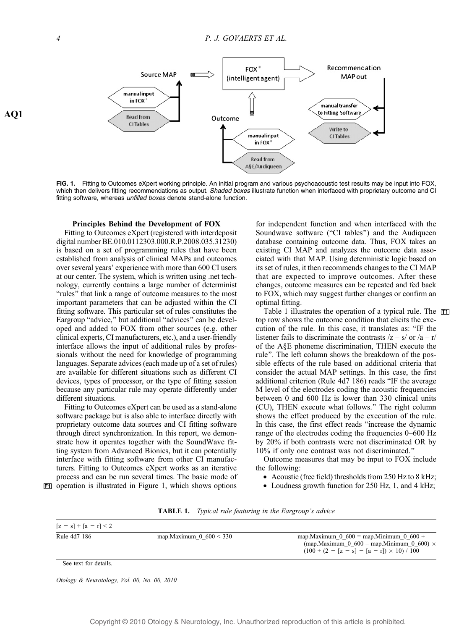

FIG. 1. Fitting to Outcomes eXpert working principle. An initial program and various psychoacoustic test results may be input into FOX, which then delivers fitting recommendations as output. Shaded boxes illustrate function when interfaced with proprietary outcome and CI fitting software, whereas unfilled boxes denote stand-alone function.

#### Principles Behind the Development of FOX

Fitting to Outcomes eXpert (registered with interdeposit digital number BE.010.0112303.000.R.P.2008.035.31230) is based on a set of programming rules that have been established from analysis of clinical MAPs and outcomes over several years' experience with more than 600 CI users at our center. The system, which is written using .net technology, currently contains a large number of determinist "rules" that link a range of outcome measures to the most important parameters that can be adjusted within the CI fitting software. This particular set of rules constitutes the Eargroup "advice," but additional "advices" can be developed and added to FOX from other sources (e.g. other clinical experts, CI manufacturers, etc.), and a user-friendly interface allows the input of additional rules by professionals without the need for knowledge of programming languages. Separate advices (each made up of a set of rules) are available for different situations such as different CI devices, types of processor, or the type of fitting session because any particular rule may operate differently under different situations.

Fitting to Outcomes eXpert can be used as a stand-alone software package but is also able to interface directly with proprietary outcome data sources and CI fitting software through direct synchronization. In this report, we demonstrate how it operates together with the SoundWave fitting system from Advanced Bionics, but it can potentially interface with fitting software from other CI manufacturers. Fitting to Outcomes eXpert works as an iterative process and can be run several times. The basic mode of F1 operation is illustrated in Figure 1, which shows options

for independent function and when interfaced with the Soundwave software ("CI tables") and the Audiqueen database containing outcome data. Thus, FOX takes an existing CI MAP and analyzes the outcome data associated with that MAP. Using deterministic logic based on its set of rules, it then recommends changes to the CI MAP that are expected to improve outcomes. After these changes, outcome measures can be repeated and fed back to FOX, which may suggest further changes or confirm an optimal fitting.

Table 1 illustrates the operation of a typical rule. The  $\overline{T1}$ top row shows the outcome condition that elicits the execution of the rule. In this case, it translates as: "IF the listener fails to discriminate the contrasts  $z - s/$  or  $/a - r/$ of the A§E phoneme discrimination, THEN execute the rule". The left column shows the breakdown of the possible effects of the rule based on additional criteria that consider the actual MAP settings. In this case, the first additional criterion (Rule 4d7 186) reads "IF the average M level of the electrodes coding the acoustic frequencies between 0 and 600 Hz is lower than 330 clinical units (CU), THEN execute what follows." The right column shows the effect produced by the execution of the rule. In this case, the first effect reads "increase the dynamic range of the electrodes coding the frequencies  $0-600$  Hz by 20% if both contrasts were not discriminated OR by 10% if only one contrast was not discriminated."

Outcome measures that may be input to FOX include the following:

- Acoustic (free field) thresholds from 250 Hz to 8 kHz;
- Loudness growth function for 250 Hz, 1, and 4 kHz;

TABLE 1. Typical rule featuring in the Eargroup's advice

| $[z - s] + [a - r] < 2$ |                               |                                                                                                                                                              |
|-------------------------|-------------------------------|--------------------------------------------------------------------------------------------------------------------------------------------------------------|
| Rule 4d7 186            | map.Maximum $0\,600 \leq 330$ | map.Maximum $0\,600 = \text{map.Minimum } 0\,600 +$<br>(map.Maximum 0 600 – map.Minimum 0 600) $\times$<br>$(100 + (2 - [z - s] - [a - r]) \times 10) / 100$ |
|                         |                               |                                                                                                                                                              |

See text for details.

 $\overline{a}$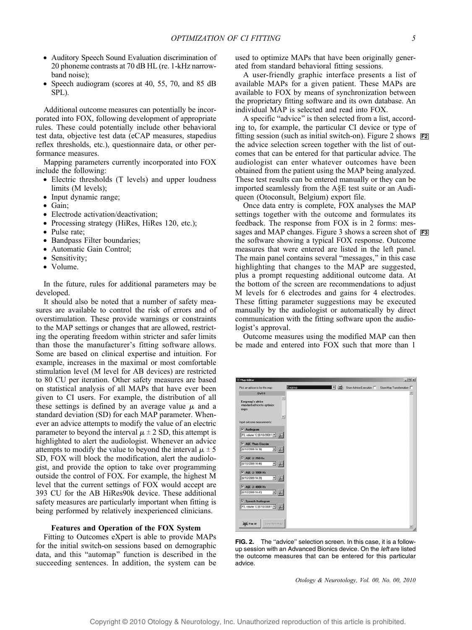- Auditory Speech Sound Evaluation discrimination of 20 phoneme contrasts at 70 dB HL (re. 1-kHz narrowband noise);
- Speech audiogram (scores at 40, 55, 70, and 85 dB SPL).

Additional outcome measures can potentially be incorporated into FOX, following development of appropriate rules. These could potentially include other behavioral test data, objective test data (eCAP measures, stapedius reflex thresholds, etc.), questionnaire data, or other performance measures.

Mapping parameters currently incorporated into FOX include the following:

- Electric thresholds (T levels) and upper loudness limits (M levels);
- Input dynamic range;
- Gain;
- Electrode activation/deactivation;
- Processing strategy (HiRes, HiRes 120, etc.);
- Pulse rate:
- Bandpass Filter boundaries;
- Automatic Gain Control;
- Sensitivity;
- Volume.

In the future, rules for additional parameters may be developed.

It should also be noted that a number of safety measures are available to control the risk of errors and of overstimulation. These provide warnings or constraints to the MAP settings or changes that are allowed, restricting the operating freedom within stricter and safer limits than those the manufacturer's fitting software allows. Some are based on clinical expertise and intuition. For example, increases in the maximal or most comfortable stimulation level (M level for AB devices) are restricted to 80 CU per iteration. Other safety measures are based on statistical analysis of all MAPs that have ever been given to CI users. For example, the distribution of all these settings is defined by an average value  $\mu$  and a standard deviation (SD) for each MAP parameter. Whenever an advice attempts to modify the value of an electric parameter to beyond the interval  $\mu \pm 2$  SD, this attempt is highlighted to alert the audiologist. Whenever an advice attempts to modify the value to beyond the interval  $\mu \pm 5$ SD, FOX will block the modification, alert the audiologist, and provide the option to take over programming outside the control of FOX. For example, the highest M level that the current settings of FOX would accept are 393 CU for the AB HiRes90k device. These additional safety measures are particularly important when fitting is being performed by relatively inexperienced clinicians.

# Features and Operation of the FOX System

Fitting to Outcomes eXpert is able to provide MAPs for the initial switch-on sessions based on demographic data, and this "automap" function is described in the succeeding sentences. In addition, the system can be used to optimize MAPs that have been originally generated from standard behavioral fitting sessions.

A user-friendly graphic interface presents a list of available MAPs for a given patient. These MAPs are available to FOX by means of synchronization between the proprietary fitting software and its own database. An individual MAP is selected and read into FOX.

A specific "advice" is then selected from a list, according to, for example, the particular CI device or type of fitting session (such as initial switch-on). Figure 2 shows  $F2$ the advice selection screen together with the list of outcomes that can be entered for that particular advice. The audiologist can enter whatever outcomes have been obtained from the patient using the MAP being analyzed. These test results can be entered manually or they can be imported seamlessly from the A§E test suite or an Audiqueen (Otoconsult, Belgium) export file.

Once data entry is complete, FOX analyses the MAP settings together with the outcome and formulates its feedback. The response from FOX is in 2 forms: messages and MAP changes. Figure 3 shows a screen shot of F3 the software showing a typical FOX response. Outcome measures that were entered are listed in the left panel. The main panel contains several "messages," in this case highlighting that changes to the MAP are suggested, plus a prompt requesting additional outcome data. At the bottom of the screen are recommendations to adjust M levels for 6 electrodes and gains for 4 electrodes. These fitting parameter suggestions may be executed manually by the audiologist or automatically by direct communication with the fitting software upon the audiologist's approval.

Outcome measures using the modified MAP can then be made and entered into FOX such that more than 1



FIG. 2. The ''advice'' selection screen. In this case, it is a followup session with an Advanced Bionics device. On the left are listed the outcome measures that can be entered for this particular advice.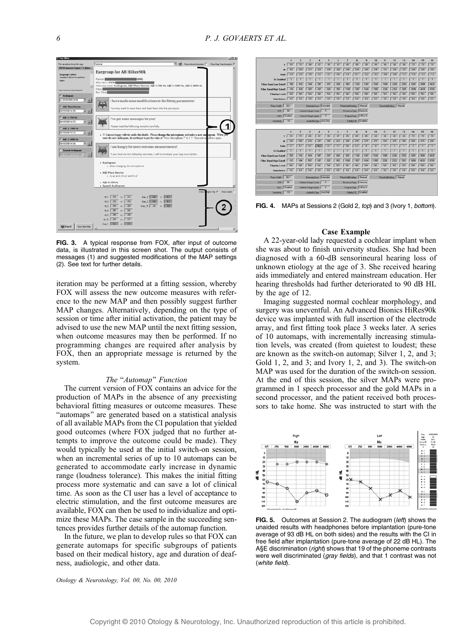

FIG. 3. A typical response from FOX, after input of outcome data, is illustrated in this screen shot. The output consists of messages (1) and suggested modifications of the MAP settings (2). See text for further details.

iteration may be performed at a fitting session, whereby FOX will assess the new outcome measures with reference to the new MAP and then possibly suggest further MAP changes. Alternatively, depending on the type of session or time after initial activation, the patient may be advised to use the new MAP until the next fitting session, when outcome measures may then be performed. If no programming changes are required after analysis by FOX, then an appropriate message is returned by the system.

## The "Automap" Function

The current version of  $FOX$  contains an advice for the production of MAPs in the absence of any preexisting behavioral fitting measures or outcome measures. These "automaps" are generated based on a statistical analysis of all available MAPs from the CI population that yielded good outcomes (where FOX judged that no further attempts to improve the outcome could be made). They would typically be used at the initial switch-on session, when an incremental series of up to 10 automaps can be generated to accommodate early increase in dynamic range (loudness tolerance). This makes the initial fitting process more systematic and can save a lot of clinical time. As soon as the CI user has a level of acceptance to electric stimulation, and the first outcome measures are available, FOX can then be used to individualize and optimize these MAPs. The case sample in the succeeding sentences provides further details of the automap function.

In the future, we plan to develop rules so that FOX can generate automaps for specific subgroups of patients based on their medical history, age and duration of deafness, audiologic, and other data.

|                                | ٠                | $\overline{z}$  | t                   |                       | s                        | к              | y                          | ä                   | 9              | 10   | 11        | 12                        | 13   | 14             | 15             | 16              |
|--------------------------------|------------------|-----------------|---------------------|-----------------------|--------------------------|----------------|----------------------------|---------------------|----------------|------|-----------|---------------------------|------|----------------|----------------|-----------------|
| r I                            | $\overline{33}$  | $\overline{z}$  | R3                  | $\overline{57}$       | R5                       | 67             | R5                         | $\overline{65}$     | 85             | 68   | 68        | 68                        | 60   | 72             | $\overline{z}$ | $\overline{v}$  |
| M                              | 201              | 203             | 211                 | 224                   | 28                       | 240            | 240                        | 249                 | 249            | 245  | 241       | 234                       | 237  | 238            | 238            | 233             |
| Gain                           |                  |                 |                     |                       |                          | 自病             |                            | 01                  |                | 03   | 通病        | 0.8                       |      |                |                | $-1.4$          |
| <b>In Enabled</b>              |                  |                 |                     |                       |                          |                |                            |                     |                |      |           |                           |      |                |                | $\overline{1}$  |
| <b>Filter Band Low Cutoff</b>  | 250              | 416             | 454                 |                       | RSD                      | <b>ROB</b>     | 983                        | 1168                | 1387           | 1648 | 1958      | 2326                      | 2762 | 2291           | 3898           | 4630            |
| <b>Filter Band High Cutoff</b> | 416              | 434             |                     |                       |                          |                | 1168                       | 1307                | 1048           | 1950 |           |                           |      |                | 4630           | 13700           |
| <b>Clipping Level</b>          | 541              | 541             | 541                 | 541                   | 541                      | 541            | 541                        | 541                 | 541            | 541  | 541       | 541                       | 541  | 541            | 541            | 541             |
| Impedance                      | 0.5              | 0.5             | 05                  |                       | 05                       | 0.5            | 85                         | 0.5                 | 05             | 0.5  | 0.5       | 05                        | 05   | 05             | 05             | E               |
| Pulse Width 20.7               |                  |                 |                     | Extended Low Extended |                          |                | PulseWaltSelling   Manual  |                     |                |      |           | ThresholdSetting   Manual |      |                |                |                 |
| <b>IDR</b>                     | $\overline{100}$ |                 | Volume Range Lower  |                       | 15                       |                | ProcessorType Hamony       |                     |                |      |           |                           |      |                |                |                 |
| AGC Enabled                    |                  |                 | Volume Range Lipper |                       | $-5$                     |                |                            | ProgramType   HResS |                |      |           |                           |      |                |                |                 |
| Sensitivity 10                 |                  |                 |                     | AudioMixType Aux Only |                          |                |                            | Fideliy120 Enabled  |                |      |           |                           |      |                |                |                 |
|                                |                  |                 |                     |                       |                          |                |                            |                     |                |      |           |                           |      |                |                |                 |
|                                |                  |                 |                     |                       |                          |                |                            |                     |                |      |           |                           |      |                |                |                 |
|                                | $\mathbf{1}$     | $\overline{z}$  | <b>h</b>            | $\overline{4}$        | s                        | ċ              | z                          | ٠                   | 3              | 10   | 11        | 12                        | 13   | 14             | 15             | 16              |
| $T - 1$                        | 83               | $\overline{22}$ | 63                  | 67                    | 65                       | $\overline{c}$ | 65                         |                     | $\overline{5}$ | 薩    | <b>CO</b> | 68                        | 68   | 72             | 72             | $\overline{70}$ |
| H                              | 234              |                 |                     |                       |                          | 264            |                            | 276                 |                |      |           |                           |      |                |                | 290             |
| <b>Gain</b>                    | 47               |                 |                     |                       |                          |                | 0.6                        |                     |                |      |           |                           |      |                |                |                 |
| <b>Is Enabled</b>              |                  |                 |                     |                       |                          |                |                            |                     |                |      |           |                           |      |                |                |                 |
| <b>Filter Band Low Cutoff</b>  | 250              | 416             |                     |                       |                          | 828            | 983                        | 1168                | 1387           | 1648 | 1958      |                           |      |                |                | 6530            |
| <b>Filter Band High Cutoff</b> | 416              | 454             |                     | 697                   | <b>DOM</b>               | 983            | 1168                       | 1367<br>п           | 1648           | 1950 | 2226      | 2762                      | 2291 | 3893           | 4630           | 9700            |
| Clipping Level                 | 541              | 541             | 541                 | 541                   | 541                      | 541            | 541                        | 541                 | 541            | 541  | 541       | 541                       | 541  | 541            | 541            | 541             |
| Impedance                      | 0.5              | 0.5             | 0.5                 | 05                    | 0.5                      | 05             |                            | $0.5$ 0.5           | 0.5            | 0.5  | 0.5       | 0.5                       | 05   | 0 <sub>5</sub> | 05             | 0.5             |
| Puise Width                    | 20.7             |                 |                     | Extended Low Extended |                          |                | PulseWidthSelting   Manual |                     |                |      |           | ThesholdSelling Manual    |      |                |                |                 |
| IDR                            | $\overline{100}$ |                 | Volume Range Lower  |                       | $\overline{\phantom{a}}$ |                | ProcessorType Hamory       |                     |                |      |           |                           |      |                |                |                 |
| AGC Enabled                    |                  |                 | Volume Range Upper  |                       | $\overline{\phantom{1}}$ |                |                            | ProgramType HiResS  |                |      |           |                           |      |                |                |                 |

FIG. 4. MAPs at Sessions 2 (Gold 2, top) and 3 (Ivory 1, bottom).

#### Case Example

A 22-year-old lady requested a cochlear implant when she was about to finish university studies. She had been diagnosed with a 60-dB sensorineural hearing loss of unknown etiology at the age of 3. She received hearing aids immediately and entered mainstream education. Her hearing thresholds had further deteriorated to 90 dB HL by the age of 12.

Imaging suggested normal cochlear morphology, and surgery was uneventful. An Advanced Bionics HiRes90k device was implanted with full insertion of the electrode array, and first fitting took place 3 weeks later. A series of 10 automaps, with incrementally increasing stimulation levels, was created (from quietest to loudest; these are known as the switch-on automap; Silver 1, 2, and 3; Gold 1, 2, and 3; and Ivory 1, 2, and 3). The switch-on MAP was used for the duration of the switch-on session. At the end of this session, the silver MAPs were programmed in 1 speech processor and the gold MAPs in a second processor, and the patient received both processors to take home. She was instructed to start with the



FIG. 5. Outcomes at Session 2. The audiogram (left) shows the unaided results with headphones before implantation (pure-tone average of 93 dB HL on both sides) and the results with the CI in free field after implantation (pure-tone average of 22 dB HL). The A§E discrimination (right) shows that 19 of the phoneme contrasts were well discriminated (gray fields), and that 1 contrast was not (white field).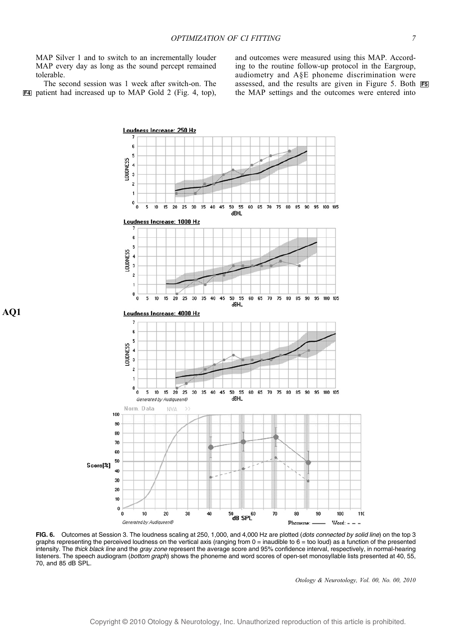MAP Silver 1 and to switch to an incrementally louder MAP every day as long as the sound percept remained tolerable.

and outcomes were measured using this MAP. According to the routine follow-up protocol in the Eargroup, audiometry and A§E phoneme discrimination were assessed, and the results are given in Figure 5. Both F5 the MAP settings and the outcomes were entered into

The second session was 1 week after switch-on. The F4 patient had increased up to MAP Gold 2 (Fig. 4, top),



FIG. 6. Outcomes at Session 3. The loudness scaling at 250, 1,000, and 4,000 Hz are plotted (dots connected by solid line) on the top 3 graphs representing the perceived loudness on the vertical axis (ranging from  $0 =$  inaudible to  $6 =$  too loud) as a function of the presented intensity. The thick black line and the gray zone represent the average score and 95% confidence interval, respectively, in normal-hearing listeners. The speech audiogram (bottom graph) shows the phoneme and word scores of open-set monosyllable lists presented at 40, 55, 70, and 85 dB SPL.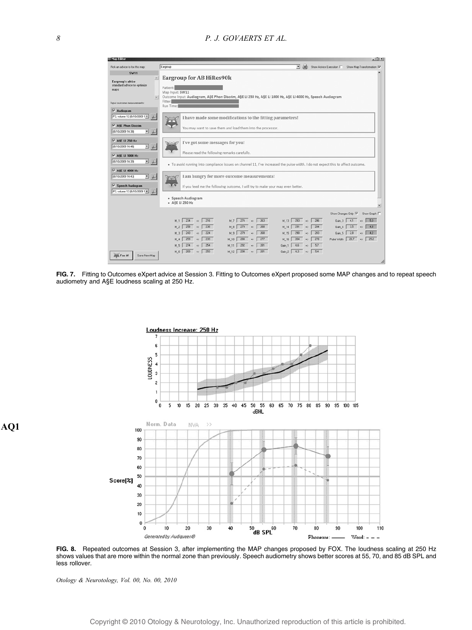

FIG. 7. Fitting to Outcomes eXpert advice at Session 3. Fitting to Outcomes eXpert proposed some MAP changes and to repeat speech audiometry and A§E loudness scaling at 250 Hz.



FIG. 8. Repeated outcomes at Session 3, after implementing the MAP changes proposed by FOX. The loudness scaling at 250 Hz shows values that are more within the normal zone than previously. Speech audiometry shows better scores at 55, 70, and 85 dB SPL and less rollover.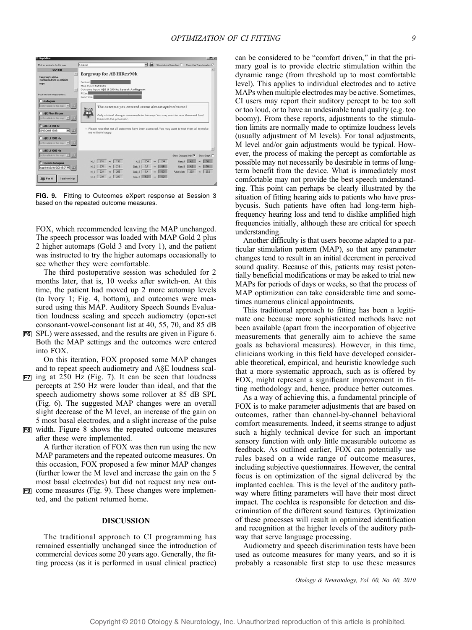

FIG. 9. Fitting to Outcomes eXpert response at Session 3 based on the repeated outcome measures.

FOX, which recommended leaving the MAP unchanged. The speech processor was loaded with MAP Gold 2 plus 2 higher automaps (Gold 3 and Ivory 1), and the patient was instructed to try the higher automaps occasionally to see whether they were comfortable.

The third postoperative session was scheduled for 2 months later, that is, 10 weeks after switch-on. At this time, the patient had moved up 2 more automap levels (to Ivory 1; Fig. 4, bottom), and outcomes were measured using this MAP. Auditory Speech Sounds Evaluation loudness scaling and speech audiometry (open-set consonant-vowel-consonant list at 40, 55, 70, and 85 dB

F6 SPL) were assessed, and the results are given in Figure 6. Both the MAP settings and the outcomes were entered into FOX.

On this iteration, FOX proposed some MAP changes and to repeat speech audiometry and A§E loudness scal-

F7 ing at 250 Hz (Fig. 7). It can be seen that loudness percepts at 250 Hz were louder than ideal, and that the speech audiometry shows some rollover at 85 dB SPL (Fig. 6). The suggested MAP changes were an overall slight decrease of the M level, an increase of the gain on 5 most basal electrodes, and a slight increase of the pulse F8 width. Figure 8 shows the repeated outcome measures

after these were implemented. A further iteration of FOX was then run using the new

MAP parameters and the repeated outcome measures. On this occasion, FOX proposed a few minor MAP changes (further lower the M level and increase the gain on the 5 most basal electrodes) but did not request any new out-F9 come measures (Fig. 9). These changes were implemen-

# ted, and the patient returned home.

#### DISCUSSION

The traditional approach to CI programming has remained essentially unchanged since the introduction of commercial devices some 20 years ago. Generally, the fitting process (as it is performed in usual clinical practice) can be considered to be "comfort driven," in that the primary goal is to provide electric stimulation within the dynamic range (from threshold up to most comfortable level). This applies to individual electrodes and to active MAPs when multiple electrodes may be active. Sometimes, CI users may report their auditory percept to be too soft or too loud, or to have an undesirable tonal quality (e.g. too boomy). From these reports, adjustments to the stimulation limits are normally made to optimize loudness levels (usually adjustment of M levels). For tonal adjustments, M level and/or gain adjustments would be typical. However, the process of making the percept as comfortable as possible may not necessarily be desirable in terms of longterm benefit from the device. What is immediately most comfortable may not provide the best speech understanding. This point can perhaps be clearly illustrated by the situation of fitting hearing aids to patients who have presbycusis. Such patients have often had long-term highfrequency hearing loss and tend to dislike amplified high frequencies initially, although these are critical for speech understanding.

Another difficulty is that users become adapted to a particular stimulation pattern (MAP), so that any parameter changes tend to result in an initial decrement in perceived sound quality. Because of this, patients may resist potentially beneficial modifications or may be asked to trial new MAPs for periods of days or weeks, so that the process of MAP optimization can take considerable time and sometimes numerous clinical appointments.

This traditional approach to fitting has been a legitimate one because more sophisticated methods have not been available (apart from the incorporation of objective measurements that generally aim to achieve the same goals as behavioral measures). However, in this time, clinicians working in this field have developed considerable theoretical, empirical, and heuristic knowledge such that a more systematic approach, such as is offered by FOX, might represent a significant improvement in fitting methodology and, hence, produce better outcomes.

As a way of achieving this, a fundamental principle of FOX is to make parameter adjustments that are based on outcomes, rather than channel-by-channel behavioral comfort measurements. Indeed, it seems strange to adjust such a highly technical device for such an important sensory function with only little measurable outcome as feedback. As outlined earlier, FOX can potentially use rules based on a wide range of outcome measures, including subjective questionnaires. However, the central focus is on optimization of the signal delivered by the implanted cochlea. This is the level of the auditory pathway where fitting parameters will have their most direct impact. The cochlea is responsible for detection and discrimination of the different sound features. Optimization of these processes will result in optimized identification and recognition at the higher levels of the auditory pathway that serve language processing.

Audiometry and speech discrimination tests have been used as outcome measures for many years, and so it is probably a reasonable first step to use these measures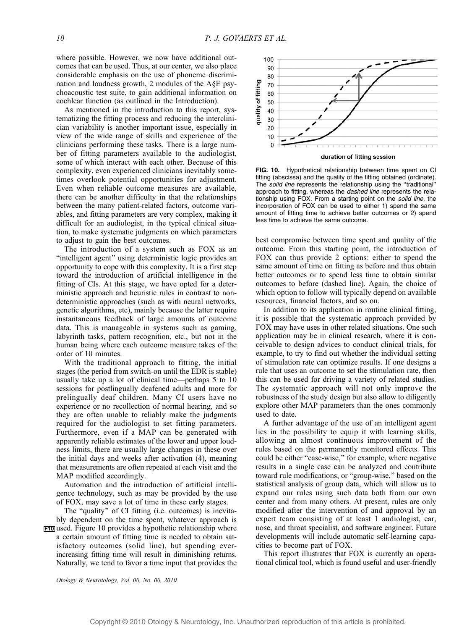where possible. However, we now have additional outcomes that can be used. Thus, at our center, we also place considerable emphasis on the use of phoneme discrimination and loudness growth, 2 modules of the A§E psychoacoustic test suite, to gain additional information on cochlear function (as outlined in the Introduction).

As mentioned in the introduction to this report, systematizing the fitting process and reducing the interclinician variability is another important issue, especially in view of the wide range of skills and experience of the clinicians performing these tasks. There is a large number of fitting parameters available to the audiologist, some of which interact with each other. Because of this complexity, even experienced clinicians inevitably sometimes overlook potential opportunities for adjustment. Even when reliable outcome measures are available, there can be another difficulty in that the relationships between the many patient-related factors, outcome variables, and fitting parameters are very complex, making it difficult for an audiologist, in the typical clinical situation, to make systematic judgments on which parameters to adjust to gain the best outcomes.

The introduction of a system such as FOX as an "intelligent agent" using deterministic logic provides an opportunity to cope with this complexity. It is a first step toward the introduction of artificial intelligence in the fitting of CIs. At this stage, we have opted for a deterministic approach and heuristic rules in contrast to nondeterministic approaches (such as with neural networks, genetic algorithms, etc), mainly because the latter require instantaneous feedback of large amounts of outcome data. This is manageable in systems such as gaming, labyrinth tasks, pattern recognition, etc., but not in the human being where each outcome measure takes of the order of 10 minutes.

With the traditional approach to fitting, the initial stages (the period from switch-on until the EDR is stable) usually take up a lot of clinical time—perhaps  $5$  to  $10$ sessions for postlingually deafened adults and more for prelingually deaf children. Many CI users have no experience or no recollection of normal hearing, and so they are often unable to reliably make the judgments required for the audiologist to set fitting parameters. Furthermore, even if a MAP can be generated with apparently reliable estimates of the lower and upper loudness limits, there are usually large changes in these over the initial days and weeks after activation (4), meaning that measurements are often repeated at each visit and the MAP modified accordingly.

Automation and the introduction of artificial intelligence technology, such as may be provided by the use of FOX, may save a lot of time in these early stages.

The "quality" of CI fitting (i.e. outcomes) is inevitably dependent on the time spent, whatever approach is **F10** used. Figure 10 provides a hypothetic relationship where a certain amount of fitting time is needed to obtain satisfactory outcomes (solid line), but spending everincreasing fitting time will result in diminishing returns. Naturally, we tend to favor a time input that provides the



FIG. 10. Hypothetical relationship between time spent on CI fitting (abscissa) and the quality of the fitting obtained (ordinate). The solid line represents the relationship using the "traditional" approach to fitting, whereas the dashed line represents the relationship using FOX. From a starting point on the solid line, the incorporation of FOX can be used to either 1) spend the same amount of fitting time to achieve better outcomes or 2) spend less time to achieve the same outcome.

best compromise between time spent and quality of the outcome. From this starting point, the introduction of FOX can thus provide 2 options: either to spend the same amount of time on fitting as before and thus obtain better outcomes or to spend less time to obtain similar outcomes to before (dashed line). Again, the choice of which option to follow will typically depend on available resources, financial factors, and so on.

In addition to its application in routine clinical fitting, it is possible that the systematic approach provided by FOX may have uses in other related situations. One such application may be in clinical research, where it is conceivable to design advices to conduct clinical trials, for example, to try to find out whether the individual setting of stimulation rate can optimize results. If one designs a rule that uses an outcome to set the stimulation rate, then this can be used for driving a variety of related studies. The systematic approach will not only improve the robustness of the study design but also allow to diligently explore other MAP parameters than the ones commonly used to date.

A further advantage of the use of an intelligent agent lies in the possibility to equip it with learning skills, allowing an almost continuous improvement of the rules based on the permanently monitored effects. This could be either "case-wise," for example, where negative results in a single case can be analyzed and contribute toward rule modifications, or "group-wise," based on the statistical analysis of group data, which will allow us to expand our rules using such data both from our own center and from many others. At present, rules are only modified after the intervention of and approval by an expert team consisting of at least 1 audiologist, ear, nose, and throat specialist, and software engineer. Future developments will include automatic self-learning capacities to become part of FOX.

This report illustrates that FOX is currently an operational clinical tool, which is found useful and user-friendly